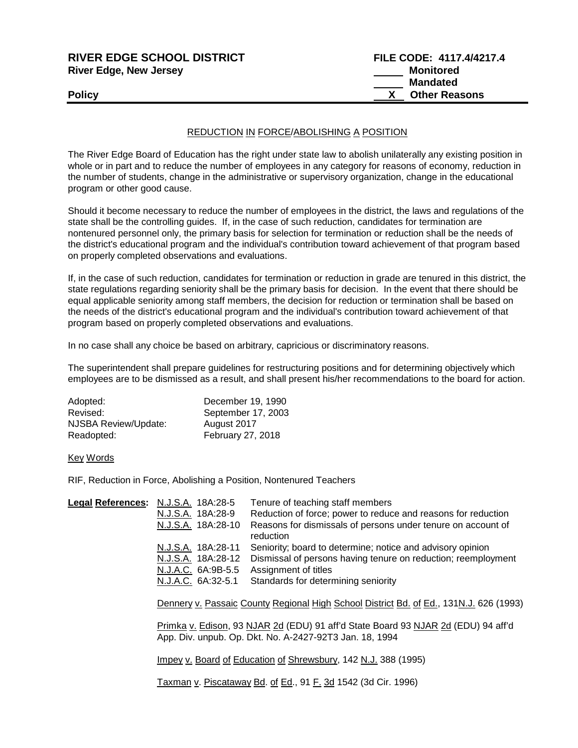| <b>RIVER EDGE SCHOOL DISTRICT</b> | FILE CODE: 4117.4/4217.4 |
|-----------------------------------|--------------------------|
| <b>River Edge, New Jersey</b>     | Monitored                |
|                                   | <b>Mandated</b>          |
| <b>Policy</b>                     | <b>Other Reasons</b>     |
|                                   |                          |

## REDUCTION IN FORCE/ABOLISHING A POSITION

The River Edge Board of Education has the right under state law to abolish unilaterally any existing position in whole or in part and to reduce the number of employees in any category for reasons of economy, reduction in the number of students, change in the administrative or supervisory organization, change in the educational program or other good cause.

Should it become necessary to reduce the number of employees in the district, the laws and regulations of the state shall be the controlling guides. If, in the case of such reduction, candidates for termination are nontenured personnel only, the primary basis for selection for termination or reduction shall be the needs of the district's educational program and the individual's contribution toward achievement of that program based on properly completed observations and evaluations.

If, in the case of such reduction, candidates for termination or reduction in grade are tenured in this district, the state regulations regarding seniority shall be the primary basis for decision. In the event that there should be equal applicable seniority among staff members, the decision for reduction or termination shall be based on the needs of the district's educational program and the individual's contribution toward achievement of that program based on properly completed observations and evaluations.

In no case shall any choice be based on arbitrary, capricious or discriminatory reasons.

The superintendent shall prepare guidelines for restructuring positions and for determining objectively which employees are to be dismissed as a result, and shall present his/her recommendations to the board for action.

| Adopted:             | December 19, 1990  |
|----------------------|--------------------|
| Revised:             | September 17, 2003 |
| NJSBA Review/Update: | August 2017        |
| Readopted:           | February 27, 2018  |

## Key Words

RIF, Reduction in Force, Abolishing a Position, Nontenured Teachers

| Legal References: N.J.S.A. 18A:28-5 |                    | Tenure of teaching staff members                                              |
|-------------------------------------|--------------------|-------------------------------------------------------------------------------|
|                                     | N.J.S.A. 18A:28-9  | Reduction of force; power to reduce and reasons for reduction                 |
|                                     | N.J.S.A. 18A:28-10 | Reasons for dismissals of persons under tenure on account of                  |
|                                     |                    | reduction                                                                     |
|                                     |                    | N.J.S.A. 18A:28-11 Seniority; board to determine; notice and advisory opinion |
|                                     | N.J.S.A. 18A:28-12 | Dismissal of persons having tenure on reduction; reemployment                 |
|                                     | N.J.A.C. 6A:9B-5.5 | Assignment of titles                                                          |
|                                     |                    | N.J.A.C. 6A:32-5.1 Standards for determining seniority                        |
|                                     |                    |                                                                               |

Dennery v. Passaic County Regional High School District Bd. of Ed., 131N.J. 626 (1993)

Primka v. Edison, 93 NJAR 2d (EDU) 91 aff'd State Board 93 NJAR 2d (EDU) 94 aff'd App. Div. unpub. Op. Dkt. No. A-2427-92T3 Jan. 18, 1994

Impey v. Board of Education of Shrewsbury, 142 N.J. 388 (1995)

Taxman v. Piscataway Bd. of Ed., 91 F. 3d 1542 (3d Cir. 1996)